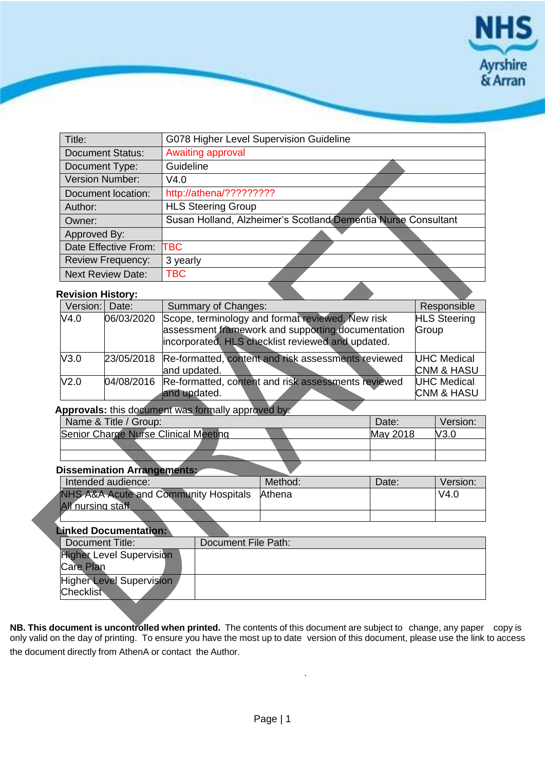

| Title:                   | G078 Higher Level Supervision Guideline                       |
|--------------------------|---------------------------------------------------------------|
| <b>Document Status:</b>  | Awaiting approval                                             |
| Document Type:           | Guideline                                                     |
| <b>Version Number:</b>   | V4.0                                                          |
| Document location:       | http://athena/?????????                                       |
| Author:                  | <b>HLS Steering Group</b>                                     |
| Owner:                   | Susan Holland, Alzheimer's Scotland Dementia Nurse Consultant |
| Approved By:             |                                                               |
| Date Effective From:     | <b>TBC</b>                                                    |
| <b>Review Frequency:</b> | 3 yearly                                                      |
| <b>Next Review Date:</b> | TBC                                                           |

#### **Revision History:**

| Version:         | Date:      | Summary of Changes:                                                                                                                                        | Responsible                                 |
|------------------|------------|------------------------------------------------------------------------------------------------------------------------------------------------------------|---------------------------------------------|
| V4.0             | 06/03/2020 | Scope, terminology and format reviewed. New risk<br>assessment framework and supporting documentation<br>incorporated. HLS checklist reviewed and updated. | <b>HLS Steering</b><br>Group                |
| V3.0             |            | 23/05/2018 Re-formatted, content and risk assessments reviewed<br>and updated.                                                                             | UHC Medical<br><b>CNM &amp; HASU</b>        |
| V <sub>2.0</sub> |            | 04/08/2016 Re-formatted, content and risk assessments reviewed<br>and updated.                                                                             | <b>UHC Medical</b><br><b>CNM &amp; HASU</b> |

### Approvals: this document was formally approved by:

| Name & Title / Group:                | Date:    | Version: |
|--------------------------------------|----------|----------|
| Senior Charge Nurse Clinical Meeting | May 2018 | V3.0     |
|                                      |          |          |
|                                      |          |          |

#### **Dissemination Arrangements:**

.

| Intended audience:                    | Method:       | Date: | Version: |
|---------------------------------------|---------------|-------|----------|
| NHS A&A Acute and Community Hospitals | <b>Athena</b> |       | V4.0     |
| <b>All</b> nursing staff              |               |       |          |
|                                       |               |       |          |

#### **Linked Documentation:**

| Document Title:                 | Document File Path: |
|---------------------------------|---------------------|
| <b>Higher Level Supervision</b> |                     |
| Care Plan                       |                     |
| Higher Level Supervision        |                     |
| Checklist                       |                     |

**NB. This document is uncontrolled when printed.** The contents of this document are subject to change, any paper copy is only valid on the day of printing. To ensure you have the most up to date version of this document, please use the link to access the document directly from AthenA or contact the Author.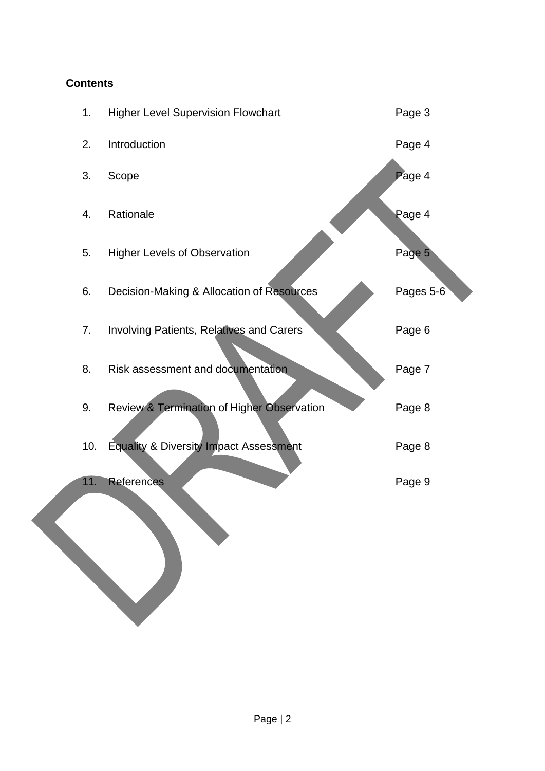### **Contents**

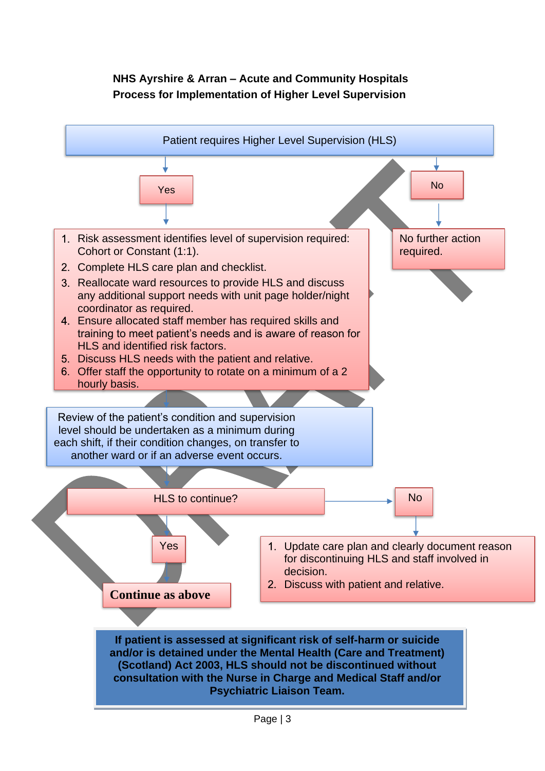# **Continue as above** Yes Ves Vesterman 1. Update care plan and clearly document reason for discontinuing HLS and staff involved in decision. 2. Discuss with patient and relative. HLS to continue? 1. Risk assessment identifies level of supervision required: Cohort or Constant (1:1). 2. Complete HLS care plan and checklist. 3. Reallocate ward resources to provide HLS and discuss any additional support needs with unit page holder/night coordinator as required. Ensure allocated staff member has required skills and training to meet patient's needs and is aware of reason for HLS and identified risk factors. Discuss HLS needs with the patient and relative. 6. Offer staff the opportunity to rotate on a minimum of a 2 hourly basis. No further action required. Patient requires Higher Level Supervision (HLS) Yes No Review of the patient's condition and supervision level should be undertaken as a minimum during each shift, if their condition changes, on transfer to another ward or if an adverse event occurs.

 **NHS Ayrshire & Arran – Acute and Community Hospitals Process for Implementation of Higher Level Supervision**

**If patient is assessed at significant risk of self-harm or suicide and/or is detained under the Mental Health (Care and Treatment) (Scotland) Act 2003, HLS should not be discontinued without consultation with the Nurse in Charge and Medical Staff and/or Psychiatric Liaison Team.**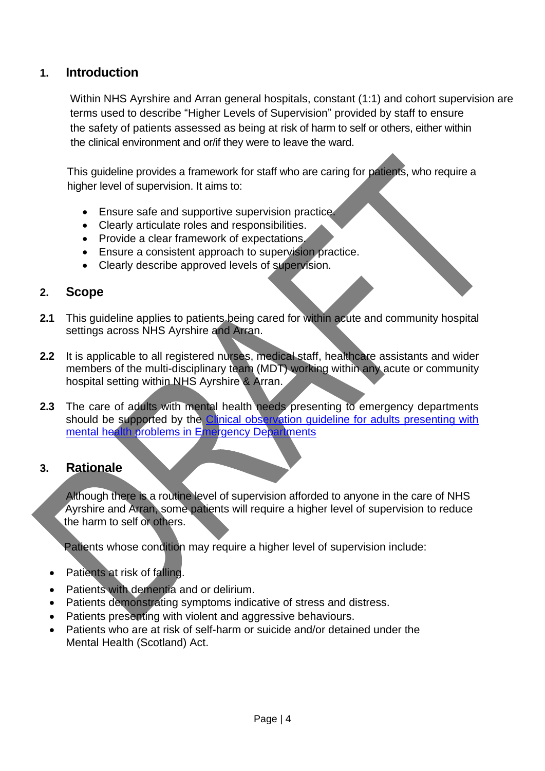### **1. Introduction**

 Within NHS Ayrshire and Arran general hospitals, constant (1:1) and cohort supervision are terms used to describe "Higher Levels of Supervision" provided by staff to ensure the safety of patients assessed as being at risk of harm to self or others, either within the clinical environment and or/if they were to leave the ward.

This guideline provides a framework for staff who are caring for patients, who require a higher level of supervision. It aims to:

- Ensure safe and supportive supervision practice.
- Clearly articulate roles and responsibilities.
- Provide a clear framework of expectations.
- Ensure a consistent approach to supervision practice.
- Clearly describe approved levels of supervision.

### **2. Scope**

- **2.1** This guideline applies to patients being cared for within acute and community hospital settings across NHS Ayrshire and Arran.
- **2.2** It is applicable to all registered nurses, medical staff, healthcare assistants and wider members of the multi-disciplinary team (MDT) working within any acute or community hospital setting within NHS Ayrshire & Arran.
- **2.3** The care of adults with mental health needs presenting to emergency departments should be supported by the *Clinical observation guideline for adults presenting with* [mental health problems in Emergency Departments](https://ras.nhsaa.scot.nhs.uk/athena/cgrmrd/ClinGov/DraftGuidance/G097%20Clinical%20observation%20guideline%20for%20adult%20patients%20presenting%20with%20mental%20health%20problems%20in%20the%20ED.pdf)

### **3. Rationale**

Although there is a routine level of supervision afforded to anyone in the care of NHS Ayrshire and Arran, some patients will require a higher level of supervision to reduce the harm to self or others.

Patients whose condition may require a higher level of supervision include:

- Patients at risk of falling.
- Patients with dementia and or delirium.
- Patients demonstrating symptoms indicative of stress and distress.
- Patients presenting with violent and aggressive behaviours.
- Patients who are at risk of self-harm or suicide and/or detained under the Mental Health (Scotland) Act.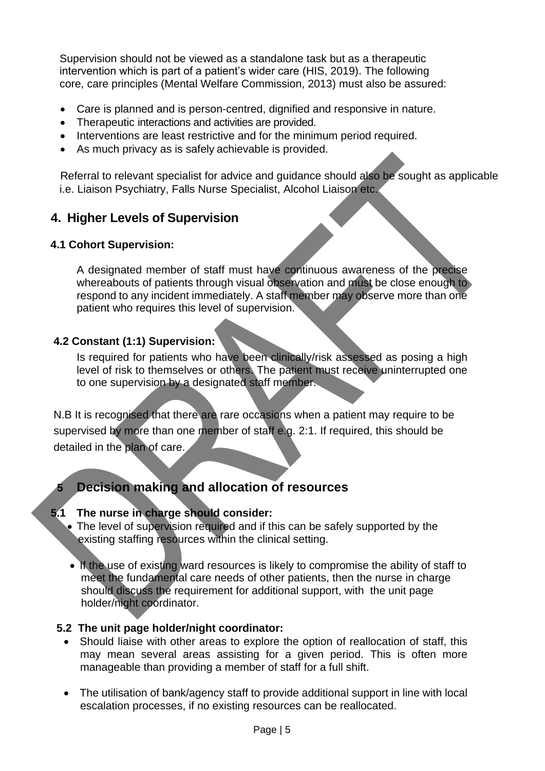Supervision should not be viewed as a standalone task but as a therapeutic intervention which is part of a patient's wider care (HIS, 2019). The following core, care principles (Mental Welfare Commission, 2013) must also be assured:

- Care is planned and is person-centred, dignified and responsive in nature.
- Therapeutic interactions and activities are provided.
- Interventions are least restrictive and for the minimum period required.
- As much privacy as is safely achievable is provided.

Referral to relevant specialist for advice and guidance should also be sought as applicable i.e. Liaison Psychiatry, Falls Nurse Specialist, Alcohol Liaison etc.

### **4. Higher Levels of Supervision**

### **4.1 Cohort Supervision:**

A designated member of staff must have continuous awareness of the precise whereabouts of patients through visual observation and must be close enough to respond to any incident immediately. A staff member may observe more than one patient who requires this level of supervision.

### **4.2 Constant (1:1) Supervision:**

Is required for patients who have been clinically/risk assessed as posing a high level of risk to themselves or others. The patient must receive uninterrupted one to one supervision by a designated staff member.

 N.B It is recognised that there are rare occasions when a patient may require to be supervised by more than one member of staff e.g. 2:1. If required, this should be detailed in the plan of care.

# **5 Decision making and allocation of resources**

### **5.1 The nurse in charge should consider:**

- The level of supervision required and if this can be safely supported by the existing staffing resources within the clinical setting.
- If the use of existing ward resources is likely to compromise the ability of staff to meet the fundamental care needs of other patients, then the nurse in charge should discuss the requirement for additional support, with the unit page holder/night coordinator.

### **5.2 The unit page holder/night coordinator:**

- Should liaise with other areas to explore the option of reallocation of staff, this may mean several areas assisting for a given period. This is often more manageable than providing a member of staff for a full shift.
- The utilisation of bank/agency staff to provide additional support in line with local escalation processes, if no existing resources can be reallocated.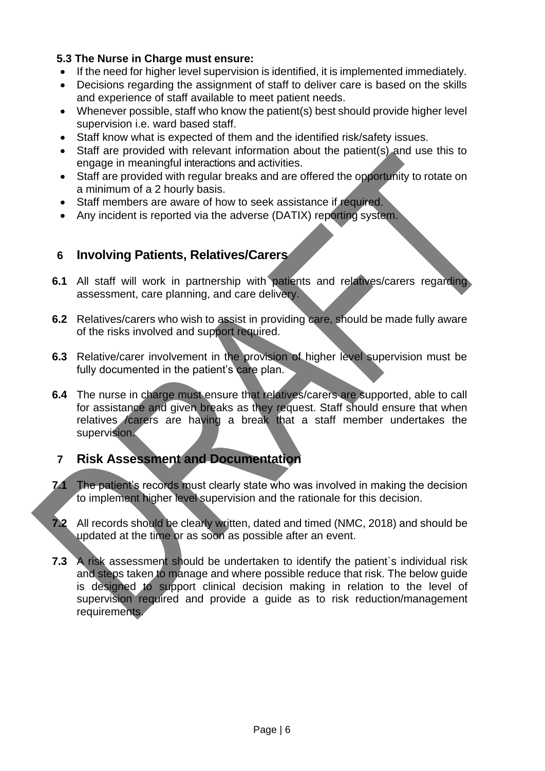### **5.3 The Nurse in Charge must ensure:**

- If the need for higher level supervision is identified, it is implemented immediately.
- Decisions regarding the assignment of staff to deliver care is based on the skills and experience of staff available to meet patient needs.
- Whenever possible, staff who know the patient(s) best should provide higher level supervision i.e. ward based staff.
- Staff know what is expected of them and the identified risk/safety issues.
- Staff are provided with relevant information about the patient(s) and use this to engage in meaningful interactions and activities.
- Staff are provided with regular breaks and are offered the opportunity to rotate on a minimum of a 2 hourly basis.
- Staff members are aware of how to seek assistance if required.
- Any incident is reported via the adverse (DATIX) reporting system.

## **6 Involving Patients, Relatives/Carers**

- **6.1** All staff will work in partnership with patients and relatives/carers regarding assessment, care planning, and care delivery.
- **6.2** Relatives/carers who wish to assist in providing care, should be made fully aware of the risks involved and support required.
- **6.3** Relative/carer involvement in the provision of higher level supervision must be fully documented in the patient's care plan.
- **6.4** The nurse in charge must ensure that relatives/carers are supported, able to call for assistance and given breaks as they request. Staff should ensure that when relatives /carers are having a break that a staff member undertakes the supervision.

# **7 Risk Assessment and Documentation**

- **7.1** The patient's records must clearly state who was involved in making the decision to implement higher level supervision and the rationale for this decision.
- **7.2** All records should be clearly written, dated and timed (NMC, 2018) and should be updated at the time or as soon as possible after an event.
- **7.3** A risk assessment should be undertaken to identify the patient s individual risk and steps taken to manage and where possible reduce that risk. The below guide is designed to support clinical decision making in relation to the level of supervision required and provide a guide as to risk reduction/management requirements.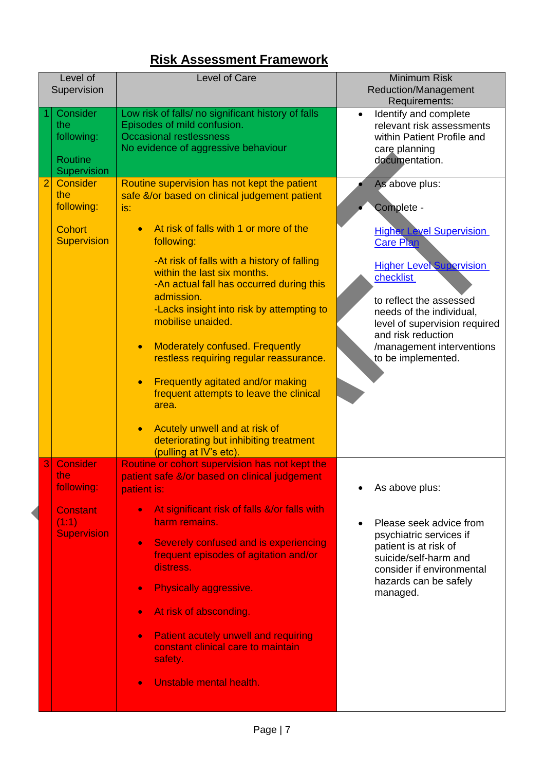# **Risk Assessment Framework**

| Level of<br>Supervision |                                                                                        | Level of Care                                                                                                                                                                                                                                                                                                                                                                                                                                                                                                                                                                                                                                                                                                 | <b>Minimum Risk</b><br>Reduction/Management<br>Requirements:                                                                                                                                                                                                                                  |
|-------------------------|----------------------------------------------------------------------------------------|---------------------------------------------------------------------------------------------------------------------------------------------------------------------------------------------------------------------------------------------------------------------------------------------------------------------------------------------------------------------------------------------------------------------------------------------------------------------------------------------------------------------------------------------------------------------------------------------------------------------------------------------------------------------------------------------------------------|-----------------------------------------------------------------------------------------------------------------------------------------------------------------------------------------------------------------------------------------------------------------------------------------------|
|                         | Consider<br>the<br>following:<br><b>Routine</b><br>Supervision                         | Low risk of falls/ no significant history of falls<br>Episodes of mild confusion.<br><b>Occasional restlessness</b><br>No evidence of aggressive behaviour                                                                                                                                                                                                                                                                                                                                                                                                                                                                                                                                                    | Identify and complete<br>$\bullet$<br>relevant risk assessments<br>within Patient Profile and<br>care planning<br>documentation.                                                                                                                                                              |
| $\overline{2}$          | <b>Consider</b><br>the<br>following:<br><b>Cohort</b><br><b>Supervision</b>            | Routine supervision has not kept the patient<br>safe &/or based on clinical judgement patient<br>is:<br>At risk of falls with 1 or more of the<br>$\bullet$<br>following:<br>-At risk of falls with a history of falling<br>within the last six months.<br>-An actual fall has occurred during this<br>admission.<br>-Lacks insight into risk by attempting to<br>mobilise unaided.<br><b>Moderately confused. Frequently</b><br>$\bullet$<br>restless requiring regular reassurance.<br>Frequently agitated and/or making<br>$\bullet$<br>frequent attempts to leave the clinical<br>area.<br>Acutely unwell and at risk of<br>$\bullet$<br>deteriorating but inhibiting treatment<br>(pulling at IV's etc). | As above plus:<br>Complete -<br><b>Higher Level Supervision</b><br>Care Plan<br><b>Higher Level Supervision</b><br>checklist<br>to reflect the assessed<br>needs of the individual,<br>level of supervision required<br>and risk reduction<br>/management interventions<br>to be implemented. |
| 3                       | <b>Consider</b><br>the<br>following:<br><b>Constant</b><br>(1:1)<br><b>Supervision</b> | Routine or cohort supervision has not kept the<br>patient safe &/or based on clinical judgement<br>patient is:<br>At significant risk of falls &/or falls with<br>$\bullet$<br>harm remains.<br>Severely confused and is experiencing<br>$\bullet$<br>frequent episodes of agitation and/or<br>distress.<br>Physically aggressive.<br>$\bullet$<br>At risk of absconding.<br>$\bullet$<br><b>Patient acutely unwell and requiring</b><br>$\bullet$<br>constant clinical care to maintain<br>safety.<br>Unstable mental health.<br>$\bullet$                                                                                                                                                                   | As above plus:<br>Please seek advice from<br>psychiatric services if<br>patient is at risk of<br>suicide/self-harm and<br>consider if environmental<br>hazards can be safely<br>managed.                                                                                                      |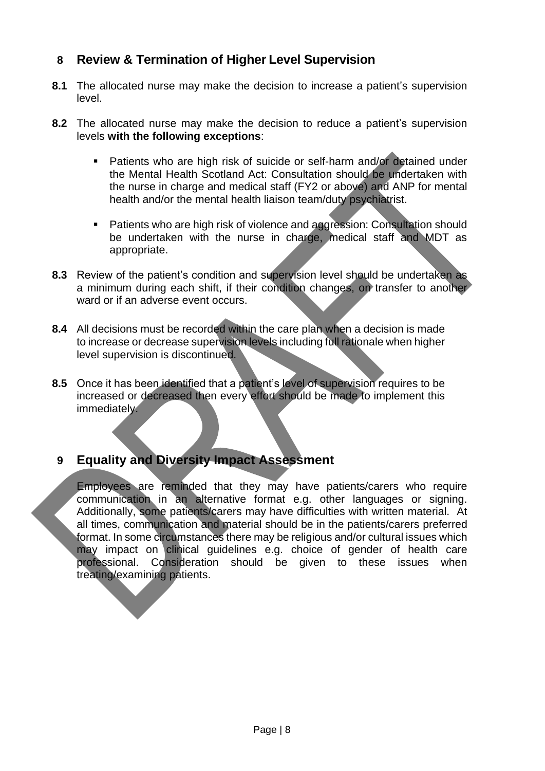## **8 Review & Termination of Higher Level Supervision**

- **8.1** The allocated nurse may make the decision to increase a patient's supervision level.
- **8.2** The allocated nurse may make the decision to reduce a patient's supervision levels **with the following exceptions**:
	- Patients who are high risk of suicide or self-harm and/or detained under the Mental Health Scotland Act: Consultation should be undertaken with the nurse in charge and medical staff (FY2 or above) and ANP for mental health and/or the mental health liaison team/duty psychiatrist.
	- Patients who are high risk of violence and aggression: Consultation should be undertaken with the nurse in charge, medical staff and MDT as appropriate.
- **8.3** Review of the patient's condition and supervision level should be undertaken as a minimum during each shift, if their condition changes, on transfer to another ward or if an adverse event occurs.
- **8.4** All decisions must be recorded within the care plan when a decision is made to increase or decrease supervision levels including full rationale when higher level supervision is discontinued.
- **8.5** Once it has been identified that a patient's level of supervision requires to be increased or decreased then every effort should be made to implement this immediately.

## **9 Equality and Diversity Impact Assessment**

Employees are reminded that they may have patients/carers who require communication in an alternative format e.g. other languages or signing. Additionally, some patients/carers may have difficulties with written material. At all times, communication and material should be in the patients/carers preferred format. In some circumstances there may be religious and/or cultural issues which may impact on clinical quidelines e.g. choice of gender of health care professional. Consideration should be given to these issues when treating/examining patients.